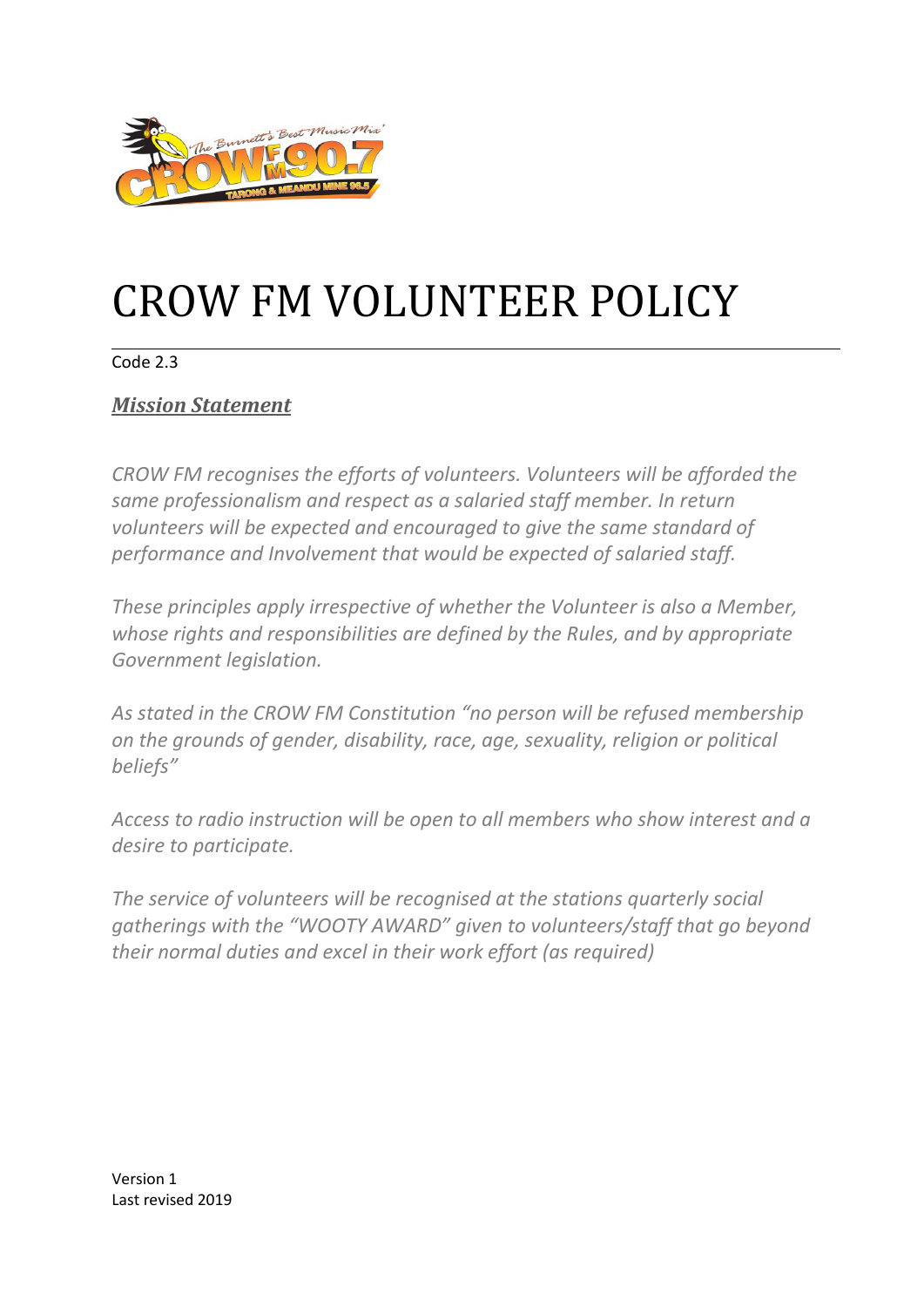

# CROW FM VOLUNTEER POLICY

#### Code 2.3

## *Mission Statemen[t](http://www.3bbrfm.org.au/words%20policy%20dec2011/Policy-Volunteer.pdf#page=1)*

*CROW FM recognises the efforts of volunteers. Volunteers will be afforded the same professionalism and respect as a salaried staff member. In return volunteers will be expected and encouraged to give the same standard of performance and Involvement that would be expected of salaried staff.* 

*These principles apply irrespective of whether the Volunteer is also a Member, whose rights and responsibilities are defined by the Rules, and by appropriate Government legislation.* 

*As stated in the CROW FM Constitution "no person will be refused membership on the grounds of gender, disability, race, age, sexuality, religion or political beliefs"*

*Access to radio instruction will be open to all members who show interest and a desire to participate.*

*The service of volunteers will be recognised at the stations quarterly social gatherings with the "WOOTY AWARD" given to volunteers/staff that go beyond their normal duties and excel in their work effort (as required)*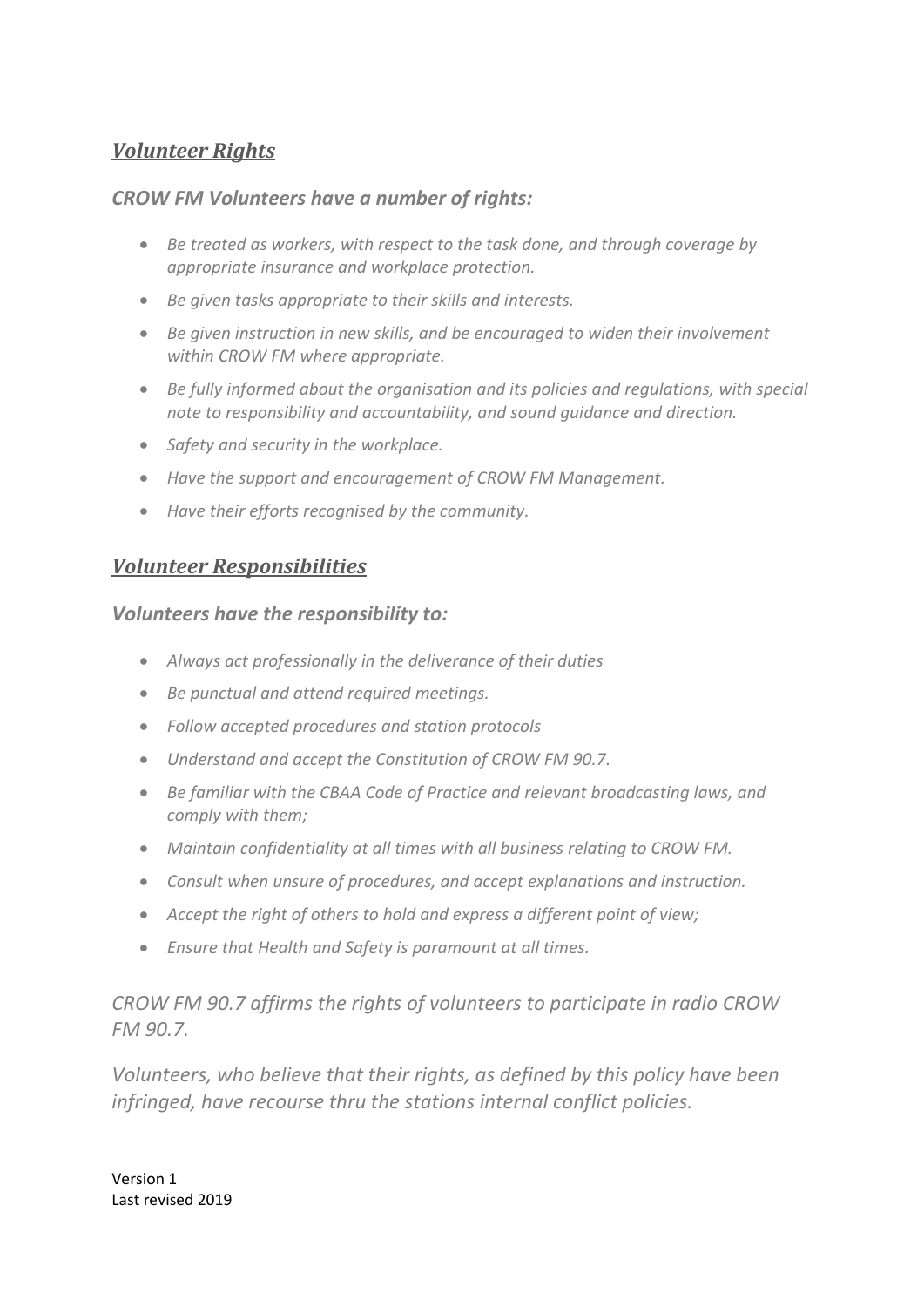## *Volunteer Rights*

### *CROW FM Volunteers have a number of rights:*

- *Be treated as workers, with respect to the task done, and through coverage by appropriate insurance and workplace protection.*
- *Be given tasks appropriate to their skills and interests.*
- *Be given instruction in new skills, and be encouraged to widen their involvement within CROW FM where appropriate.*
- *Be fully informed about the organisation and its policies and regulations, with special note to responsibility and accountability, and sound guidance and direction.*
- *Safety and security in the workplace.*
- *Have the support and encouragement of CROW FM Management.*
- *Have their efforts recognised by the community.*

## *Volunteer Responsibilities*

### *Volunteers have the responsibility to:*

- *Always act professionally in the deliverance of their duties*
- *Be punctual and attend required meetings.*
- *Follow accepted procedures and station protocols*
- *Understand and accept the Constitution of CROW FM 90.7.*
- *Be familiar with the CBAA Code of Practice and relevant broadcasting laws, and comply with them;*
- *Maintain confidentiality at all times with all business relating to CROW FM.*
- *Consult when unsure of procedures, and accept explanations and instruction.*
- *Accept the right of others to hold and express a different point of view;*
- *Ensure that Health and Safety is paramount at all times.*

*CROW FM 90.7 affirms the rights of volunteers to participate in radio CROW FM 90.7.*

*Volunteers, who believe that their rights, as defined by this policy have been infringed, have recourse thru the stations internal conflict policies.*